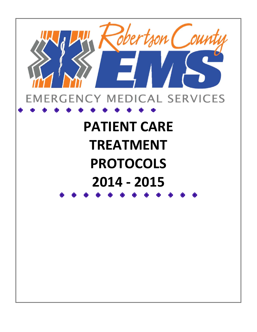

# **PATIENT CARE TREATMENT PROTOCOLS 2014 ‐ 2015**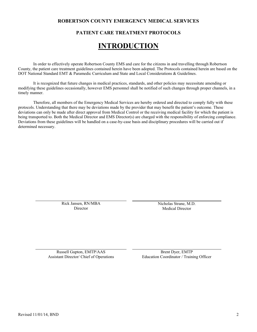# **ROBERTSON COUNTY EMERGENCY MEDICAL SERVICES**

# **PATIENT CARE TREATMENT PROTOCOLS**

# **INTRODUCTION**

In order to effectively operate Robertson County EMS and care for the citizens in and travelling through Robertson County, the patient care treatment guidelines contained herein have been adopted. The Protocols contained herein are based on the DOT National Standard EMT & Paramedic Curriculum and State and Local Considerations & Guidelines.

It is recognized that future changes in medical practices, standards, and other policies may necessitate amending or modifying these guidelines occasionally, however EMS personnel shall be notified of such changes through proper channels, in a timely manner.

Therefore, all members of the Emergency Medical Services are hereby ordered and directed to comply fully with these protocols. Understanding that there may be deviations made by the provider that may benefit the patient's outcome. These deviations can only be made after direct approval from Medical Control or the receiving medical facility for which the patient is being transported to. Both the Medical Director and EMS Director(s) are charged with the responsibility of enforcing compliance. Deviations from these guidelines will be handled on a case-by-case basis and disciplinary procedures will be carried out if determined necessary.

> Rick Jansen, RN/MBA Director

Nicholas Strane, M.D. Medical Director

Russell Gupton, EMTP/AAS Brent Dyer, EMTP<br>Assistant Director/ Chief of Operations Education Coordinator / Traini

Education Coordinator / Training Officer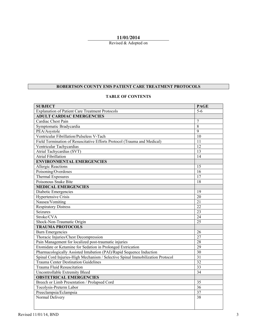# **11/01/2014**

Revised & Adopted on

# **ROBERTSON COUNTY EMS PATIENT CARE TREATMENT PROTOCOLS**

# **TABLE OF CONTENTS**

| <b>SUBJECT</b>                                                                 | <b>PAGE</b>     |
|--------------------------------------------------------------------------------|-----------------|
| <b>Explanation of Patient Care Treatment Protocols</b>                         | $5-6$           |
| <b>ADULT CARDIAC EMERGENCIES</b>                                               |                 |
| Cardiac Chest Pain                                                             | $\overline{7}$  |
| Symptomatic Bradycardia                                                        | $\overline{8}$  |
| PEA/Asystole                                                                   | 9               |
| Ventricular Fibrillation/Pulseless V-Tach                                      | 10              |
| Field Termination of Resuscitative Efforts Protocol (Trauma and Medical)       | 11              |
| Ventricular Tachycardias                                                       | $\overline{12}$ |
| Atrial Tachycardias (SVT)                                                      | 13              |
| <b>Atrial Fibrillation</b>                                                     | $\overline{14}$ |
| <b>ENVIRONMENTAL EMERGENCIES</b>                                               |                 |
| <b>Allergic Reactions</b>                                                      | 15              |
| Poisoning/Overdoses                                                            | 16              |
| Thermal Exposures                                                              | 17              |
| Poisonous Snake Bite                                                           | 18              |
| <b>MEDICAL EMERGENCIES</b>                                                     |                 |
| Diabetic Emergencies                                                           | 19              |
| <b>Hypertensive Crisis</b>                                                     | $\overline{20}$ |
| Nausea/Vomiting                                                                | 21              |
| <b>Respiratory Distress</b>                                                    | $\overline{22}$ |
| <b>Seizures</b>                                                                | $\overline{23}$ |
| Stroke/CVA                                                                     | 24              |
| Shock-Non-Traumatic Origin                                                     | $\overline{25}$ |
| <b>TRAUMA PROTOCOLS</b>                                                        |                 |
| <b>Burn Emergencies</b>                                                        | 26              |
| Thoracic Injuries/Chest Decompression                                          | 27              |
| Pain Management for localized post-traumatic injuries                          | 28              |
| Etomidate or Ketamine for Sedation in Prolonged Extrication                    | 29              |
| Pharmacologically Assisted Intubation (PAI)/Rapid Sequence Induction           | 30              |
| Spinal Cord Injuries-High Mechanism / Selective Spinal Immobilization Protocol | $\overline{31}$ |
| <b>Trauma Center Destination Guidelines</b>                                    | $\overline{32}$ |
| <b>Trauma Fluid Resuscitation</b>                                              | 33              |
| <b>Uncontrollable Extremity Bleed</b>                                          | $\overline{34}$ |
| <b>OBSTETRICAL EMERGENCIES</b>                                                 |                 |
| Breech or Limb Presentation / Prolapsed Cord                                   | 35              |
| Tocolysis-Preterm Labor                                                        | 36              |
| Preeclampsia/Eclampsia                                                         | 37              |
| Normal Delivery                                                                | 38              |
|                                                                                |                 |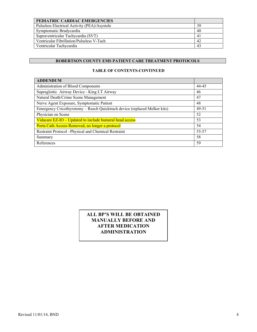| PEDIATRIC CARDIAC EMERGENCIES                |    |
|----------------------------------------------|----|
| Pulseless Electrical Activity (PEA)/Asystole | 39 |
| Symptomatic Bradycardia                      | 40 |
| Supraventricular Tachycardia (SVT)           |    |
| Ventricular Fibrillation/Pulseless V-Tach    | 42 |
| Ventricular Tachycardia                      | 43 |

# **TABLE OF CONTENTS-CONTINUED**

| <b>ADDENDUM</b>                                                           |       |
|---------------------------------------------------------------------------|-------|
| Administration of Blood Components                                        | 44-45 |
| Supraglottic Airway Device - King LT Airway                               | 46    |
| Natural Death/Crime Scene Management                                      | 47    |
| Nerve Agent Exposure, Symptomatic Patient                                 | 48    |
| Emergency Cricothyrotomy - Rusch Quicktrach device (replaced Melker kits) | 49-51 |
| Physician on Scene                                                        | 52    |
| Vidacare EZ-IO – Updated to include humeral head access                   | 53    |
| Porta Cath Access Removed, no longer a protocol                           | 54    |
| Restraint Protocol --Physical and Chemical Restraint                      | 55-57 |
| Summary                                                                   | 58    |
| References                                                                | 59    |

# **ALL BP'S WILL BE OBTAINED MANUALLY BEFORE AND AFTER MEDICATION ADMINISTRATION**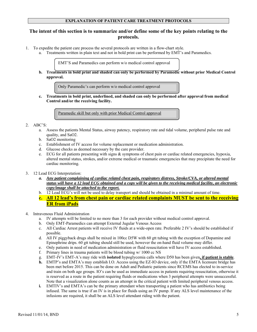### **EXPLANATION OF PATIENT CARE TREATMENT PROTOCOLS**

# **The intent of this section is to summarize and/or define some of the key points relating to the protocols.**

- 1. To expedite the patient care process the several protocols are written in a flow-chart style.
	- a. Treatments written in plain text and not in bold print can be performed by EMT's and Paramedics.

EMT'S and Paramedics can perform w/o medical control approval

**b. Treatments in bold print and shaded can only be performed by Paramedic without prior Medical Control approval.** 

Only Paramedic's can perform w/o medical control approval

**c. Treatments in bold print, underlined, and shaded can only be performed after approval from medical Control and/or the receiving facility.** 

Paramedic skill but only with prior Medical Control approval

#### 2. ABC'S:

- a. Assess the patients Mental Status, airway patency, respiratory rate and tidal volume, peripheral pulse rate and quality, and SaO2.
- b. SaO2 monitoring
- c. Establishment of IV access for volume replacement or medication administration.
- d. Glucose checks as deemed necessary by the care provider.
- e. ECG for all patients presenting with signs & symptoms of chest pain or cardiac related emergencies, hypoxia, altered mental status, strokes, and/or extreme medical or traumatic emergencies that may precipitate the need for cardiac monitoring.
- 3. 12 Lead ECG Interpretation:
	- *a. Any patient complaining of cardiac related chest pain, respiratory distress, Stroke/CVA, or altered mental status will have a 12 lead ECG obtained and a copy will be given to the receiving medical facility, an electronic copy/image shall be attached to the report.*
	- b. 12 Lead ECG's will not be used to delay transport and should be obtained in a minimal amount of time.
	- **c. All 12 lead's from chest pain or cardiac related complaints MUST be sent to the receiving ER from iPads**
- 4. Intravenous Fluid Administration
	- a. IV attempts will be limited to no more than 3 for each provider without medical control approval.
	- b. Only EMT-Paramedics can attempt External Jugular Venous Access
	- c. All Cardiac Arrest patients will receive IV fluids at a wide-open rate. Preferable 2 IV's should be established if possible.
	- d. All IV piggyback drugs shall be mixed in 100cc D5W with 60 gtt tubing with the exception of Dopamine and Epinephrine drips. 60 gtt tubing should still be used, however the on-hand fluid volume may differ.
	- e. Only patients in need of medication administration or fluid resuscitation will have IV access established.
	- f. Primary lines in trauma patients will be blood tubing w/ 1000 cc NS
	- g. EMT-IV's EMT-A's may ride with **isolated** hypoglycemia calls where D50 has been given**, if patient is stable**.
	- **h.** EMTP's and EMTA's may establish I.O. Access using the EZ-IO device, only if the EMTA licensure bridge has been met before 2015. This can be done on Adult and Pediatric patients since RCEMS has elected to in-service and train on both age groups. IO's can be used as immediate access in patients requiring resuscitation, otherwise it is reserved as a route in the patient requiring fluids or medications when 3 peripheral attempts were unsuccessful. Note that a visualization alone counts as an attempt in the critical patient with limited peripheral venous access.
	- **i.** EMTIV's and EMTA's can be the primary attendant when transporting a patient who has antibiotics being infused. The same is true if an IV is in place for fluids using an IV pump. If any ALS level maintenance of the infusions are required, it shall be an ALS level attendant riding with the patient.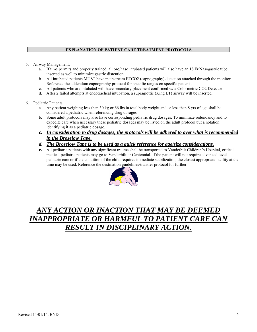# **EXPLANATION OF PATIENT CARE TREATMENT PROTOCOLS**

- 5. Airway Management:
	- a. If time permits and properly trained, all oro/naso intubated patients will also have an 18 Fr Nasogastric tube inserted as well to minimize gastric distention.
	- b. All intubated patients MUST have mainstream ETCO2 (capnography) detection attached through the monitor. Reference the addendum capnography protocol for specific ranges on specific patients.
	- c. All patients who are intubated will have secondary placement confirmed w/ a Colormetric CO2 Detector
	- d. After 2 failed attempts at endotracheal intubation, a supraglottic (King LT) airway will be inserted.
- 6. Pediatric Patients
	- a. Any patient weighing less than 30 kg or 66 lbs in total body weight and or less than 8 yrs of age shall be considered a pediatric when referencing drug dosages.
	- b. Some adult protocols may also have corresponding pediatric drug dosages. To minimize redundancy and to expedite care when necessary these pediatric dosages may be listed on the adult protocol but a notation identifying it as a pediatric dosage.
	- *c. In consideration to drug dosages, the protocols will be adhered to over what is recommended in the Broselow Tape.*
	- *d. The Broselow Tape is to be used as a quick reference for age/size considerations.*
	- *e.* All pediatric patients with any significant trauma shall be transported to Vanderbilt Children's Hospital, critical medical pediatric patients may go to Vanderbilt or Centennial. If the patient will not require advanced level pediatric care or if the condition of the child requires immediate stabilization, the closest appropriate facility at the time may be used. Reference the destination guidelines/transfer protocol for further.



# *ANY ACTION OR INACTION THAT MAY BE DEEMED INAPPROPRIATE OR HARMFUL TO PATIENT CARE CAN RESULT IN DISCIPLINARY ACTION.*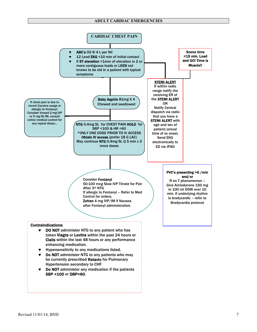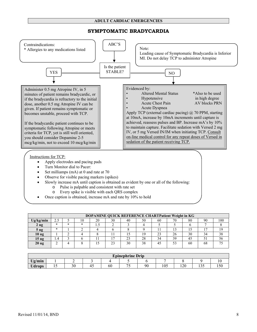# **SYMPTOMATIC BRADYCARDIA**



- Apply electrodes and pacing pads
- Turn Monitor dial to Pacer:
- Set milliamps (mA) at 0 and rate at 70
- Observe for visible pacing markers (spikes)
- Slowly increase mA until caption is obtained as evident by one or all of the following:
	- o Pulse is palpable and consistent with rate set
	- o Every spike is visible with each QRS complex
- Once caption is obtained, increase mA and rate by 10% to hold

|                   |               | DOPAMINE QUICK REFERENCE CHARTPatient Weight in KG |    |      |    |    |    |                   |    |    |    |     |
|-------------------|---------------|----------------------------------------------------|----|------|----|----|----|-------------------|----|----|----|-----|
| Ug/kg/min         | <u>ے . ۔ </u> |                                                    | 10 | 20   | 30 | 40 | 50 | 60                | 70 | 80 | 90 | 100 |
| 2 <sub>ug</sub>   | ж             | *                                                  | ∗  | ن. 1 |    |    |    |                   |    |    |    |     |
| 5 <sub>ug</sub>   | ж             |                                                    |    |      |    |    |    |                   |    |    |    | 19  |
| 10 ug             |               |                                                    |    |      |    |    | 19 | $\mathbf{\Omega}$ | 26 | 30 | 34 | 38  |
| 15 <sub>u</sub> g | 1.4           |                                                    |    |      |    | 23 | 28 | 34                | 39 | 4. |    | 56  |
| 20 <sub>ug</sub>  |               |                                                    |    |      | 23 | 30 | 38 | 45                | 53 | 60 | 68 |     |
|                   |               |                                                    |    |      |    |    |    |                   |    |    |    |     |

| <b>Epinephrine Drip</b> |                |    |     |    |   |    |     |     |                   |     |
|-------------------------|----------------|----|-----|----|---|----|-----|-----|-------------------|-----|
| Ug/min                  |                |    |     |    |   |    |     |     |                   |     |
| <b>Udrops</b>           | $\overline{1}$ | 30 | . . | 60 | ◡ | 90 | 105 | 120 | $\cdots$<br>1 J J | 150 |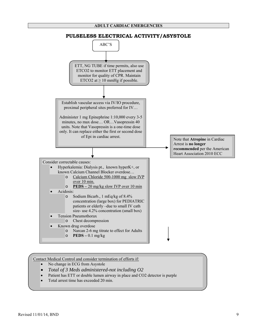

# Contact Medical Control and consider termination of efforts if:

- No change in ECG from Asystole
- *Total of 3 Meds administered-not including O2*
- Patient has ETT or double lumen airway in place and CO2 detector is purple
- Total arrest time has exceeded 20 min.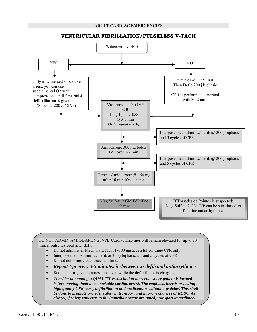

#### **VENTRICULAR FIBRILLATION/PULSELESS V-TACH**

DO NOT ADMIN AMIODARONE IVPB-Cardiac Enzymes will remain elevated for up to 30 min. if pulse restored after defib.

- Do not administer Meds via ETT, if IV/IO unsuccessful continue CPR only.
- Interpose med. Admin. w/ defib at 200 j biphasic x 1 and 5 cycles of CPR
- Do not defib more than once at a time.
- *Repeat Epi every 3-5 minutes in-between w/ defib and antiarrythmics*
- Remember to give compressions even while the defibrillator is charging.
- *Consider attempting a QUALITY resuscitation on scene where patient is located before moving them in a shockable cardiac arrest. The emphasis here is providing high quality CPR, early defibrillation and medications without any delay. This shall be done to promote provider safety in transport and improve chances of ROSC. As always, if safety concerns to the immediate scene are noted, transport immediately.*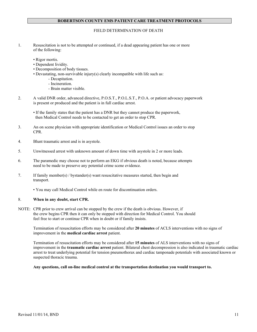#### FIELD DETERMINATION OF DEATH

- 1. Resuscitation is not to be attempted or continued, if a dead appearing patient has one or more of the following:
	- Rigor mortis.
	- Dependent lividity.
	- Decomposition of body tissues.
	- Devastating, non-survivable injury(s) clearly incompatible with life such as:
		- Decapitation.
			- Incineration.
			- Brain matter visible.
- 2. A valid DNR order, advanced directive, P.O.S.T., P.O.L.S.T., P.O.A. or patient advocacy paperwork is present or produced and the patient is in full cardiac arrest.
	- If the family states that the patient has a DNR but they cannot produce the paperwork, then Medical Control needs to be contacted to get an order to stop CPR.
- 3. An on scene physician with appropriate identification or Medical Control issues an order to stop CPR.
- 4. Blunt traumatic arrest and is in asystole.
- 5. Unwitnessed arrest with unknown amount of down time with asystole in 2 or more leads.
- 6. The paramedic may choose not to perform an EKG if obvious death is noted, because attempts need to be made to preserve any potential crime scene evidence.
- 7. If family member(s) / bystander(s) want resuscitative measures started, then begin and transport.
	- You may call Medical Control while en route for discontinuation orders.

#### 8. **When in any doubt, start CPR.**

NOTE: CPR prior to crew arrival can be stopped by the crew if the death is obvious. However, if the crew begins CPR then it can only be stopped with direction for Medical Control. You should feel free to start or continue CPR when in doubt or if family insists.

Termination of resuscitation efforts may be considered after **20 minutes** of ACLS interventions with no signs of improvement in the **medical cardiac arrest** patient.

Termination of resuscitation efforts may be considered after **15 minutes** of ALS interventions with no signs of improvement in the **traumatic cardiac arrest** patient. Bilateral chest decompression is also indicated in traumatic cardiac arrest to treat underlying potential for tension pneumothorax and cardiac tamponade potentials with associated known or suspected thoracic trauma.

**Any questions, call on-line medical control at the transportation destination you would transport to.**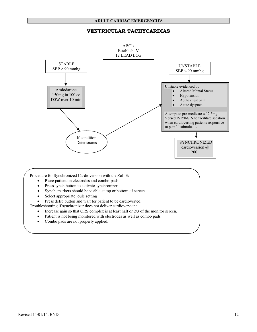# **VENTRICULAR TACHYCARDIAS**

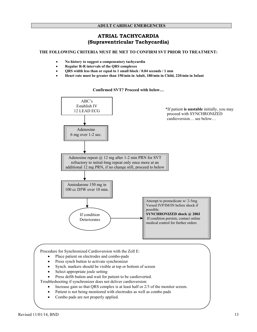# **ATRIAL TACHYCARDIA (Supraventricular Tachycardia)**

#### **THE FOLLOWING CRITERIA MUST BE MET TO CONFIRM SVT PRIOR TO TREATMENT:**

- **No history to suggest a compensatory tachycardia**
- **Regular R-R intervals of the QRS complexes**
- **QRS width less than or equal to 1 small block / 0.04 seconds / 1 mm**
- **Heart rate must be greater than 150/min in Adult, 180/min in Child, 220/min in Infant**

# \*If patient **is unstable** initially, you may proceed with SYNCHRONIZED cardioversion… see below… ABC's Establish IV 12 LEAD ECG Adenosine 6 mg over 1-2 sec. Adenosine repeat  $\omega$  12 mg after 1-2 min PRN for SVT refractory to initial 6mg repeat only once more at an additional 12 mg PRN, if no change still, proceed to below Amiodarone 150 mg in 100 cc D5W over 10 min. If condition **Deteriorates** Attempt to premedicate w/ 2-5mg Versed IVP/IM/IN before shock if possible. **SYNCHRONIZED shock @ 200J**  If condition persists, contact online medical control for further orders

#### **Confirmed SVT? Proceed with below…**

Procedure for Synchronized Cardioversion with the Zoll E:

- Place patient on electrodes and combo-pads
- Press synch button to activate synchronizer
- Synch. markers should be visible at top or bottom of screen
- Select appropriate joule setting
- Press defib button and wait for patient to be cardioverted.

Troubleshooting if synchronizer does not deliver cardioversion:

- Increase gain so that ORS complex is at least half or 2/3 of the monitor screen.
- Patient is not being monitored with electrodes as well as combo pads
- Combo pads are not properly applied.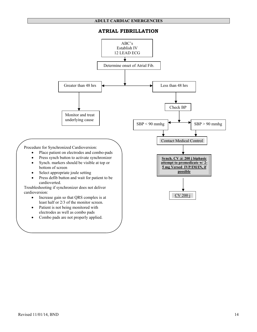# **ATRIAL FIBRILLATION**

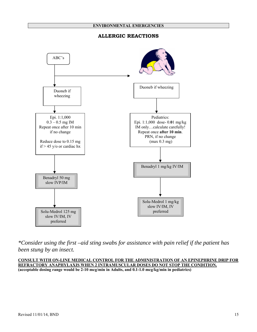# **ALLERGIC REACTIONS**



*\*Consider using the first –aid sting swabs for assistance with pain relief if the patient has been stung by an insect.* 

**CONSULT WITH ON-LINE MEDICAL CONTROL FOR THE ADMINISTRATION OF AN EPINEPHRINE DRIP FOR REFRACTORY ANAPHYLAXIS WHEN 2 INTRAMUSCULAR DOSES DO NOT STOP THE CONDITION. (acceptable dosing range would be 2-10 mcg/min in Adults, and 0.1-1.0 mcg/kg/min in pediatrics)**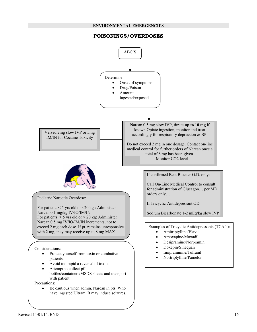#### **ENVIRONMENTAL EMERGENCIES**

# **POISONINGS/OVERDOSES**

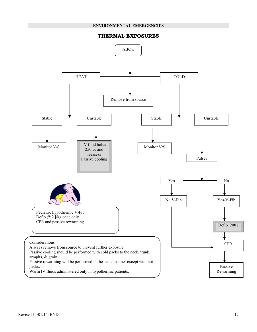#### **ENVIRONMENTAL EMERGENCIES**

#### **THERMAL EXPOSURES**

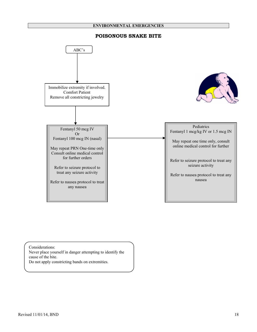#### **ENVIRONMENTAL EMERGENCIES**

# **POISONOUS SNAKE BITE**



Considerations:

Never place yourself in danger attempting to identify the cause of the bite.

Do not apply constricting bands on extremities.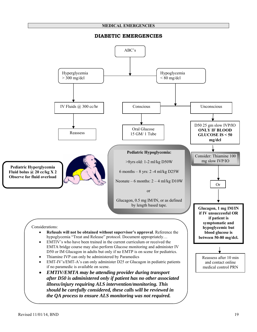#### **MEDICAL EMERGENCIES**

# **DIABETIC EMERGENCIES**

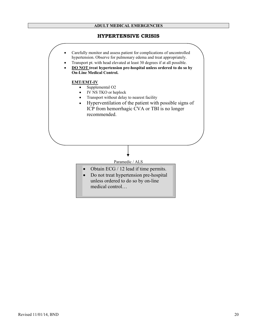#### **ADULT MEDICAL EMERGENCIES**

# **HYPERTENSIVE CRISIS**

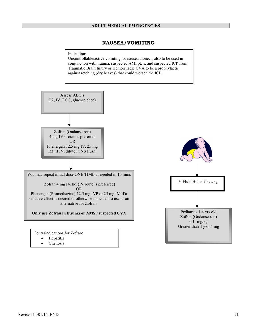# **NAUSEA/VOMITING**

Indication:

Uncontrollable/active vomiting, or nausea alone… also to be used in conjunction with trauma, suspected AMI pt.'s, and suspected ICP from Traumatic Brain Injury or Hemorrhagic CVA to be a prophylactic against retching (dry heaves) that could worsen the ICP.



**Cirrhosis**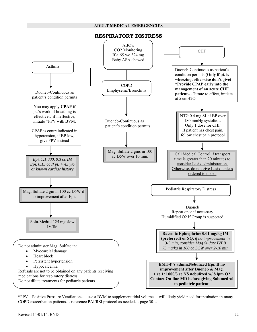#### **ADULT MEDICAL EMERGENCIES**



\*PPV – Positive Pressure Ventilations… use a BVM to supplement tidal volume… will likely yield need for intubation in many COPD exacerbation patients… reference PAI/RSI protocol as needed… page 30…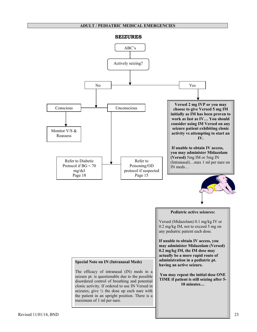#### **ADULT / PEDIATRIC MEDICAL EMERGENCIES**

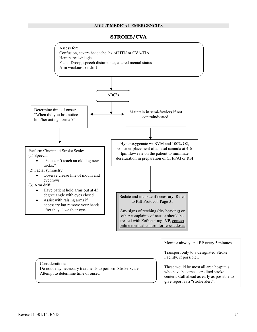#### **ADULT MEDICAL EMERGENCIES**

# **STROKE/CVA**

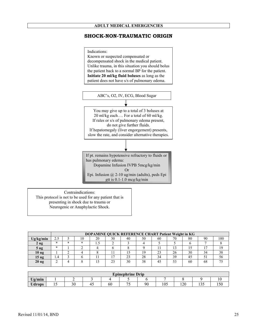# **SHOCK-NON-TRAUMATIC ORIGIN**



Contraindications: This protocol is not to be used for any patient that is presenting in shock due to trauma or Neurogenic or Anaphylactic Shock.

|                  |        | DOPAMINE QUICK REFERENCE CHART Patient Weight in KG |    |    |    |    |    |        |    |    |    |     |
|------------------|--------|-----------------------------------------------------|----|----|----|----|----|--------|----|----|----|-----|
| Ug/kg/min        |        |                                                     | 10 | 20 | 30 | 40 | 50 | 60     | 70 | 80 | 90 | 100 |
| 2 ug             | $\ast$ | ж                                                   | *  |    |    |    |    |        |    |    |    |     |
| $5 \text{ ug}$   | $\ast$ |                                                     |    |    |    |    |    |        |    |    |    | 10  |
| 10 <sub>ug</sub> |        |                                                     |    |    |    |    |    | $\sim$ | 26 | 30 | 34 | 38  |
| 15 <sub>ug</sub> | 4.4    |                                                     |    |    |    | 23 | 28 | 34     | 39 |    |    | ЭO  |
| 20 <sub>ug</sub> |        |                                                     |    | L) | 23 | 30 | 38 | 45     | 53 | 60 | 68 |     |
|                  |        |                                                     |    |    |    |    |    |        |    |    |    |     |

|               |     |    |     |    | <b>Epinephrine Drip</b> |    |     |     |                 |     |
|---------------|-----|----|-----|----|-------------------------|----|-----|-----|-----------------|-----|
| Ug/min        |     | -  |     |    |                         |    |     |     |                 |     |
| <b>Udrops</b> | ⊥ J | 30 | . . | 60 | ~                       | 90 | 105 | 120 | $\sim$<br>1 J J | 150 |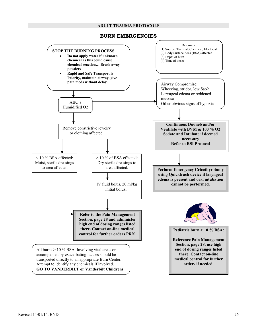

#### **BURN EMERGENCIES**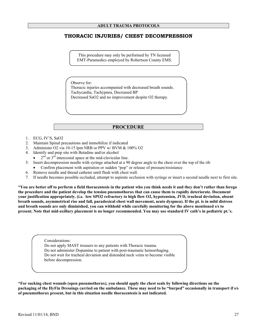# **THORACIC INJURIES/ CHEST DECOMPRESSION**

This procedure may only be performed by TN licensed EMT-Paramedics employed by Robertson County EMS.

Observe for: Thoracic injuries accompanied with decreased breath sounds. Tachycardia, Tachypnea, Decreased BP Decreased SaO2 and no improvement despite O2 therapy.

# **PROCEDURE**

- 1. ECG, IV'S, SaO2
- 2. Maintain Spinal precautions and immobilize if indicated
- 3. Administer O2 via 10-15 lpm NRB or PPV w/ BVM & 100% O2
- 4. Identify and prep site with Betadine and/or alcohol
- $2<sup>nd</sup>$  or  $3<sup>rd</sup>$  intercostal space at the mid-clavicular line.
- 5. Insert decompression needle with syringe attached at a 90 degree angle to the chest over the top of the rib
	- Confirm placement with aspiration or sudden "pop" or release of pressure/resistance
- 6. Remove needle and thread catheter until flush with chest wall.
- 7. If needle becomes possible occluded, attempt to aspirate occlusion with syringe or insert a second needle next to first site.

\***You are better off to perform a field thoracentesis in the patient who you think needs it and they don't rather than forego the procedure and the patient develop the tension pneumothorax that can cause them to rapidly deteriorate. Document your justification appropriately. (i.e. low SPO2 refractory to high flow O2, hypotension, JVD, tracheal deviation, absent breath sounds, asymmetrical rise and fall, paradoxical chest wall movement, acute dyspnea). If the pt. is in mild distress and breath sounds are only diminished, you can withhold while carefully monitoring for the above mentioned s/s to present. Note that mid-axillary placement is no longer recommended. You may use standard IV cath's in pediatric pt.'s.** 

> Considerations: Do not apply MAST trousers to any patients with Thoracic trauma. Do not administer Dopamine to patient with post-traumatic hemorrhaging. Do not wait for tracheal deviation and distended neck veins to become visible before decompression.

**\*For sucking chest wounds (open pneumothorax), you should apply the chest seals by following directions on the packaging of the HyFin Dressings carried on the ambulance. These may need to be "burped" occasionally in transport if s/s of pneumothorax present, but in this situation needle thoracentesis is not indicated.**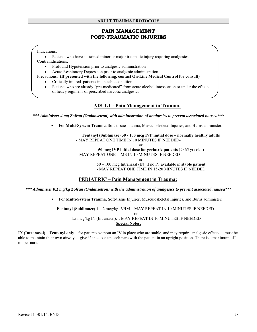# **PAIN MANAGEMENT POST-TRAUMATIC INJURIES**

Indications:

• Patients who have sustained minor or major traumatic injury requiring analgesics. Contraindications:

- Profound Hypotension prior to analgesic administration
- Acute Respiratory Depression prior to analgesic administration

Precautions: **(If presented with the following, contact On-Line Medical Control for consult)** 

- Critically injured patients in unstable condition
- Patients who are already "pre-medicated" from acute alcohol intoxication or under the effects of heavy regimens of prescribed narcotic analgesics

# **ADULT - Pain Management in Trauma:**

*\*\*\* Administer 4 mg Zofran (Ondansetron) with administration of analgesics to prevent associated nausea\*\*\** 

• For **Multi-System Trauma**, Soft-tissue Trauma, Musculoskeletal Injuries, and Burns administer:

#### **Fentanyl (Sublimaze) 50 - 100 mcg IVP initial dose – normally healthy adults** - MAY REPEAT ONE TIME IN 10 MINUTES IF NEEDED-

or

**50 mcg IVP initial dose for geriatric patients** ( > 65 yrs old )

- MAY REPEAT ONE TIME IN 10 MINUTES IF NEEDED

or

50 – 100 mcg Intranasal (IN) if no IV available in **stable patient**  - MAY REPEAT ONE TIME IN 15-20 MINUTES IF NEEDED

# **PEDIATRIC – Pain Management in Trauma:**

*\*\*\* Administer 0.1 mg/kg Zofran (Ondansetron) with the administration of analgesics to prevent associated nausea\*\*\** 

• For **Multi-System Trauma**, Soft-tissue Injuries, Musculoskeletal Injuries, and Burns administer:

**Fentanyl (Sublimaze)** 1 – 2 mcg/kg IV/IM…MAY REPEAT IN 10 MINUTES IF NEEDED. or

1.5 mcg/kg IN (Intranasal)… MAY REPEAT IN 10 MINUTES IF NEEDED **Special Notes:**

**IN (Intranasal)** – **Fentanyl only**…for patients without an IV in place who are stable, and may require analgesic effects… must be able to maintain their own airway... give  $\frac{1}{2}$  the dose up each nare with the patient in an upright position. There is a maximum of 1 ml per nare.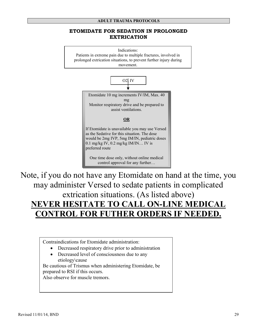# **ETOMIDATE FOR SEDATION IN PROLONGED EXTRICATION**



Note, if you do not have any Etomidate on hand at the time, you may administer Versed to sedate patients in complicated extrication situations. (As listed above) **NEVER HESITATE TO CALL ON-LINE MEDICAL CONTROL FOR FUTHER ORDERS IF NEEDED.**

Contraindications for Etomidate administration:

- Decreased respiratory drive prior to administration
- Decreased level of consciousness due to any etiology\cause

Be cautious of Trismus when administering Etomidate, be prepared to RSI if this occurs.

Also observe for muscle tremors.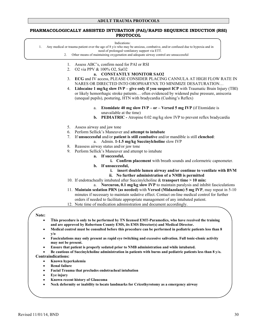#### **PHARMACOLOGICALLY ASSISTED INTUBATION (PAI)/RAPID SEQUENCE INDUCTION (RSI) PROTOCOL**

| Indications: |
|--------------|
|              |

1. Any medical or trauma patient over the age of 8 y/o who may be anxious, combative, and/or confused due to hypoxia and in

- need of prolonged ventilatory support via ETT.
- 2. Other means of maintaining oxygenation and adequate airway control are unsuccessful
	- 1. Assess ABC's, confirm need for PAI or RSI
- 2. O2 via PPV & 100% O2, SaO2
	- **a. CONSTANTLY MONITOR SAO2**
- 3. **ECG** and IV access, PLEASE CONSIDER PLACING CANNULA AT HIGH FLOW RATE IN NARES OR DIRECTED INTO OROPHARYNX TO MINIMIZE DESATURATION…
- 4. **Lidocaine 1 mg/kg slow IVP give only if you suspect ICP** with Traumatic Brain Injury (TBI) or likely hemorrhagic stroke patients… often evidenced by widened pulse pressure, aniscoria (unequal pupils), posturing, HTN with bradycardia (Cushing's Reflex)
	- a. **Etomidate 40 mg slow IVP or Versed 5 mg IVP** (if Etomidate is unavailable at the time)
	- **b. PEDIATRIC** Atropine 0.02 mg/kg slow IVP to prevent reflex bradycardia
- 5. Assess airway and jaw tone
- 6. Perform Sellick's Maneuver and **attempt to intubate**
- 7. If **unsuccessful** and/or **patient is still combative** and/or mandible is still **clenched**:
	- a. Admin. **1-1.5 mg/kg Succinylcholine** slow IVP
- 8. Reassess airway status and/or jaw tone
- 9. Perform Sellick's Maneuver and attempt to intubate
	- **a. If successful,** 
		- **i. Confirm placement** with breath sounds and colormetric capnometer.
	- **b. If unsuccessful,** 
		- **i. insert double lumen airway and/or continue to ventilate with BVM**
		- **ii. No further administration of a NMB is permitted**
- 10. If endotracheally intubated after Succinylcholine & **transport time > 10 min:**
	- a. **Norcuron, 0.1 mg/kg slow IVP** to maintain paralysis and inhibit fasciculations
- 11. **Maintain sedation PRN (as needed)** with **Versed (Midazolam) 5 mg IVP**, may repeat in 5-10 minutes if necessary to maintain sedative effect. Contact on-line medical control for further orders if needed to facilitate appropriate management of any intubated patient.
- 12. Note time of medication administration and document accordingly.

#### **Note:**

- **This procedure is only to be performed by TN licensed EMT-Paramedics, who have received the training and are approved by Robertson County EMS, its EMS Director(s) and Medical Director.**
- **Medical control must be consulted before this procedure can be performed in pediatric patients less than 8 y/o**
- **Fasciculations may only present as rapid eye twitching and excessive salivation. Full tonic-clonic activity may not be present.**
- **Ensure that patient is properly sedated prior to NMB administration and while intubated.**

• **Be cautious of Succinylcholine administration in patients with burns and pediatric patients less than 8 y/o. Contraindications:** 

- **Known hyperkalemia** 
	- **Renal failure**
- **Facial Trauma that precludes endotracheal intubation**
- **Eye injury**
- **Known recent history of Glaucoma**
- **Neck deformity or inability to locate landmarks for Cricothyrotomy as a emergency airway**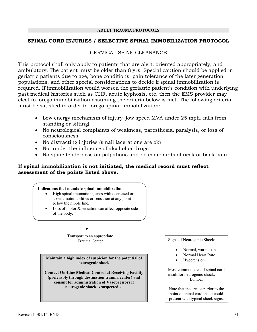# **SPINAL CORD INJURIES / SELECTIVE SPINAL IMMOBILIZATION PROTOCOL**

# CERVICAL SPINE CLEARANCE

This protocol shall only apply to patients that are alert, oriented appropriately, and ambulatory. The patient must be older than 8 yrs. Special caution should be applied in geriatric patients due to age, bone conditions, pain tolerance of the later generation populations, and other special considerations to decide if spinal immobilization is required. If immobilization would worsen the geriatric patient's condition with underlying past medical histories such as CHF, acute kyphosis, etc. then the EMS provider may elect to forego immobilization assuming the criteria below is met. The following criteria must be satisfied in order to forego spinal immobilization:

- Low energy mechanism of injury (low speed MVA under 25 mph, falls from standing or sitting)
- No neurological complaints of weakness, paresthesia, paralysis, or loss of consciousness
- No distracting injuries (small lacerations are ok)
- Not under the influence of alcohol or drugs
- No spine tenderness on palpations and no complaints of neck or back pain

# **If spinal immobilization is not initiated, the medical record must reflect assessment of the points listed above.**



- Normal, warm skin
- Normal Heart Rate
- **Hypotension**

Most common area of spinal cord insult for neurogenic shock: Lumbar

Note that the area superior to the point of spinal cord insult could present with typical shock signs.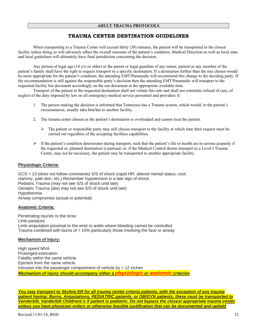# **TRAUMA CENTER DESTINATION GUIDELINES**

When transporting to a Trauma Center will exceed thirty (30) minutes, the patient will be transported to the closest facility unless doing so will adversely affect the overall outcome of the patient's condition. Medical Direction as well as local state and local guidelines will ultimately have final jurisdiction concerning the decision.

Any person of legal age (18 y/o or older) or the parent or legal guardian of any minor, patient or any member of the patient's family shall have the right to request transport to a specific destination. If a destination further than the one chosen would be more appropriate for the patient's condition, the attending EMT/Paramedic will recommend this change to the deciding party. If the recommendation is still against the responsible party's decision then the attending EMT/Paramedic will transport to the requested facility but document accordingly on the run document at the appropriate available time.

Transport of the patient to the requested destination shall not violate this rule and shall not constitute refusal of care, of neglect of the duty imposed by law on all emergency medical service personnel and providers if:

- 1. The person making the decision is informed that Tennessee has a Trauma system, which would, in the patient's circumstances, usually take him/her to another facility.
- 2. The trauma center chosen as the patient's destination is overloaded and cannot treat the patient.
	- $\triangleright$  The patient or responsible party may still choose transport to the facility at which time their request must be carried out regardless of the accepting facilities capabilities.
- $\triangleright$  If the patient's condition deteriorates during transport, such that the patient's life or health are in serious jeopardy if the requested or, planned destination is pursued, or, if the Medical Control deems transport to a Level I Trauma Center, may not be necessary, the patient may be transported to another appropriate facility.

#### **Physiologic Criteria:**

GCS < 13 (does not follow commands) S/S of shock (rapid HR; altered mental status; cool, clammy, pale skin, etc.) Remember hypotension is a late sign of shock. Pediatric Trauma (may not see S/S of shock until late) Geriatric Trauma (also may not see S/S of shock until late) Hypothermia Airway compromise (actual or potential)

#### **Anatomic Criteria:**

Penetrating injuries to the torso Limb paralysis Limb amputation proximal to the wrist or ankle where bleeding cannot be controlled Trauma combined with burns of > 15% particularly those involving the face or airway

#### **Mechanism of Injury:**

High speed MVA Prolonged extrication Fatality within the same vehicle Ejection from the same vehicle Intrusion into the passenger compartment of vehicle by > 12 inches *Mechanism of injury should accompany either a physiologic or anatomic criterion*

*You may transport to Skyline ER for all trauma center criteria patients, with the exception of any trauma patient having: Burns, Amputations, PEDIATRIC patients, or OB/GYN patients, these must be transported to Vanderbilt, Vanderbilt Childrens's if patient is pediatric. Do not bypass the closest appropriate trauma center unless you have physician orders or otherwise feasible justification that can be documented and upheld*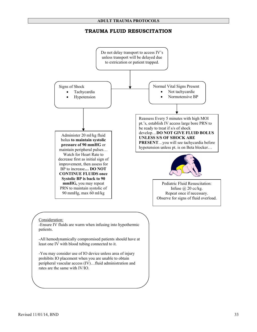# **TRAUMA FLUID RESUSCITATION**

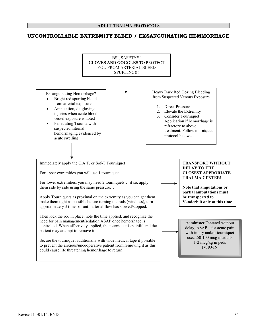# **UNCONTROLLABLE EXTREMITY BLEED / EXSANGUINATING HEMMORHAGE**

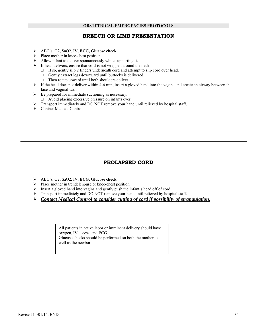# **BREECH OR LIMB PRESENTATION**

- ¾ ABC's, O2, SaO2, IV, **ECG, Glucose check**
- $\triangleright$  Place mother in knee-chest position
- $\triangleright$  Allow infant to deliver spontaneously while supporting it.
- $\triangleright$  If head delivers, ensure that cord is not wrapped around the neck.
	- $\Box$  If so, gently slip 2 fingers underneath cord and attempt to slip cord over head.
	- $\Box$  Gently extract legs downward until buttocks is delivered.
	- $\Box$  Then rotate upward until both shoulders deliver.
- $\triangleright$  If the head does not deliver within 4-6 min, insert a gloved hand into the vagina and create an airway between the face and vaginal wall.
- ¾ Be prepared for immediate suctioning as necessary.
	- Avoid placing excessive pressure on infants eyes
- ¾ Transport immediately and DO NOT remove your hand until relieved by hospital staff.
- ¾ Contact Medical Control

# **PROLAPSED CORD**

- ¾ ABC's, O2, SaO2, IV, **ECG, Glucose check**
- ¾ Place mother in trendelenburg or knee-chest position.
- ¾ Insert a gloved hand into vagina and gently push the infant's head off of cord.
- ¾ Transport immediately and DO NOT remove your hand until relieved by hospital staff.
- ¾ *Contact Medical Control to consider cutting of cord if possibility of strangulation.*

All patients in active labor or imminent delivery should have oxygen, IV access, and ECG. Glucose checks should be performed on both the mother as well as the newborn.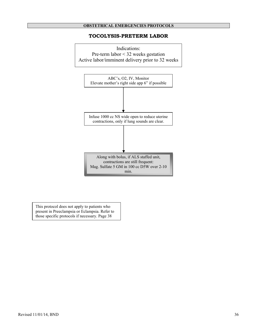# **TOCOLYSIS-PRETERM LABOR**



This protocol does not apply to patients who present in Preeclampsia or Eclampsia. Refer to those specific protocols if necessary. Page 38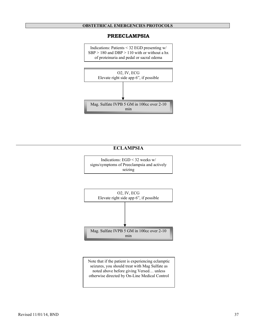#### **PREECLAMPSIA**

Indications: Patients < 32 EGD presenting w/ SBP > 180 and DBP > 110 with or without a hx of proteinuria and pedal or sacral edema



# **ECLAMPSIA**

Indications: EGD < 32 weeks w/ signs/symptoms of Preeclampsia and actively seizing



Note that if the patient is experiencing eclamptic seizures, you should treat with Mag Sulfate as noted above before giving Versed… unless otherwise directed by On-Line Medical Control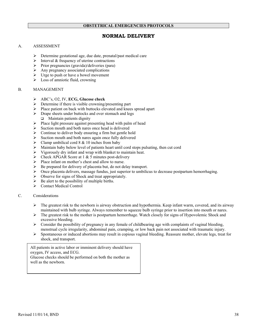# **NORMAL DELIVERY**

# A. ASSESSMENT

- ¾ Determine gestational age, due date, prenatal/past medical care
- $\triangleright$  Interval & frequency of uterine contractions
- ¾ Prior pregnancies (gravida)/deliveries (para)
- $\geq$  Any pregnancy associated complications<br> $\geq$  Urge to push or have a bowel movement
- Urge to push or have a bowel movement
- $\triangleright$  Loss of amniotic fluid, crowning

#### B. MANAGEMENT

- ¾ ABC's, O2, IV, **ECG, Glucose check**
- $\triangleright$  Determine if there is visible crowning/presenting part
- ¾ Place patient on back with buttocks elevated and knees spread apart
- ¾ Drape sheets under buttocks and over stomach and legs  $\Box$  Maintain patients dignity
- $\triangleright$  Place light pressure against presenting head with palm of head
- $\triangleright$  Suction mouth and both nares once head is delivered
- $\triangleright$  Continue to deliver body ensuring a firm but gentle hold
- $\triangleright$  Suction mouth and both nares again once fully delivered
- $\triangleright$  Clamp umbilical cord 8 & 10 inches from baby
- $\triangleright$  Maintain baby below level of patients heart until cord stops pulsating, then cut cord
- ¾ Vigorously dry infant and wrap with blanket to maintain heat.
- $\triangleright$  Check APGAR Score at 1 & 5 minutes post-delivery
- ¾ Place infant on mother's chest and allow to nurse.
- $\triangleright$  Be prepared for delivery of placenta but, do not delay transport.
- $\triangleright$  Once placenta delivers, massage fundus, just superior to umbilicus to decrease postpartum hemorrhaging.
- ¾ Observe for signs of Shock and treat appropriately.
- $\triangleright$  Be alert to the possibility of multiple births.
- $\triangleright$  Contact Medical Control
- C. Considerations
	- $\triangleright$  The greatest risk to the newborn is airway obstruction and hypothermia. Keep infant warm, covered, and its airway maintained with bulb syringe. Always remember to squeeze bulb syringe prior to insertion into mouth or nares.
	- $\triangleright$  The greatest risk to the mother is postpartum hemorrhage. Watch closely for signs of Hypovolemic Shock and excessive bleeding.
	- $\triangleright$  Consider the possibility of pregnancy in any female of childbearing age with complaints of vaginal bleeding, menstrual cycle irregularity, abdominal pain, cramping, or low back pain not associated with traumatic injury.
	- $\triangleright$  Spontaneous or induced abortions may result in copious vaginal bleeding. Reassure mother, elevate legs, treat for shock, and transport.

All patients in active labor or imminent delivery should have oxygen, IV access, and ECG. Glucose checks should be performed on both the mother as well as the newborn.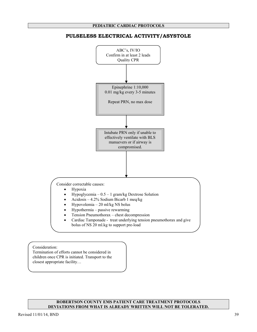# Epinephrine 1:10,000 0.01 mg/kg every 3-5 minutes Repeat PRN, no max dose Intubate PRN only if unable to effectively ventilate with BLS manuevers or if airway is compromised. Consider correctable causes: • Hypoxia • Hypoglycemia – 0.5 – 1 gram/kg Dextrose Solution • Acidosis – 4.2% Sodium Bicarb 1 meq/kg • Hypovolemia – 20 ml/kg NS bolus • Hypothermia – passive rewarming • Tension Pneumothorax – chest decompression • Cardiac Tamponade - treat underlying tension pneumothorax and give bolus of NS 20 ml.kg to support pre-load ABC's, IV/IO Confirm in at least 2 leads Quality CPR

# **PULSELESS ELECTRICAL ACTIVITY/ASYSTOLE**

Consideration:

Termination of efforts cannot be considered in children once CPR is initiated. Transport to the closest appropriate facility…

#### **ROBERTSON COUNTY EMS PATIENT CARE TREATMENT PROTOCOLS DEVIATIONS FROM WHAT IS ALREADY WRITTEN WILL NOT BE TOLERATED.**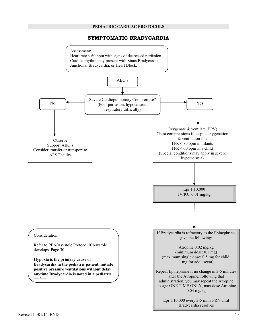## **SYMPTOMATIC BRADYCARDIA**

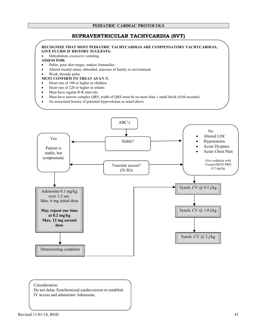# **SUPRAVENTRICULAR TACHYCARDIA (SVT)**

#### **RECOGNIZE THAT MOST PEDIATRIC TACHYCARDIAS ARE COMPENSATORY TACHYCARDIAS, GIVE FLUIDS IF HISTORY SUGGESTS:**

• Dehydration, excessive vomiting

#### **ASSESS FOR:**

- Pallor, poor skin turgor, sunken fontanelles
- Altered mental status, obtunded, unaware of family or environment
- Weak, thready pulse

#### **MUST CONFIRM TO TREAT AS S.V.T.**

- Heart rate of 180 or higher in children
- Heart rate of 220 or higher in infants
- Must have regular R-R intervals
- Must have narrow complex QRS, width of QRS must be no more than 1 small block (0.04 seconds)
- No associated history of potential hypovolemia as noted above



#### Consideration:

Do not delay Synchronized cardioversion to establish IV access and administer Adenosine.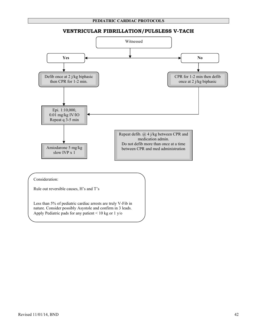# **VENTRICULAR FIBRILLATION/PULSLESS V-TACH**



#### Consideration:

Rule out reversible causes, H's and T's

Less than 5% of pediatric cardiac arrests are truly V-Fib in nature. Consider possibly Asystole and confirm in 3 leads. Apply Pediatric pads for any patient < 10 kg or 1 y/o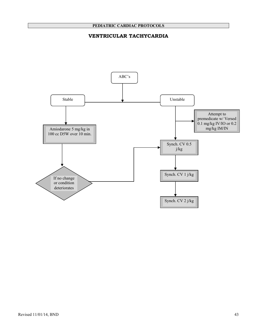# **VENTRICULAR TACHYCARDIA**

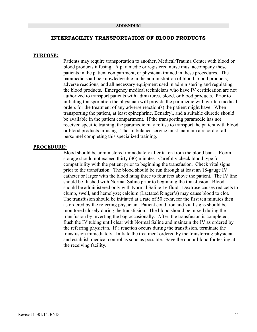#### **INTERFACILITY TRANSPORTATION OF BLOOD PRODUCTS**

#### **PURPOSE:**

Patients may require transportation to another, Medical/Trauma Center with blood or blood products infusing. A paramedic or registered nurse must accompany these patients in the patient compartment, or physician trained in these procedures. The paramedic shall be knowledgeable in the administration of blood, blood products, adverse reactions, and all necessary equipment used in administering and regulating the blood products. Emergency medical technicians who have IV certification are not authorized to transport patients with admixtures, blood, or blood products. Prior to initiating transportation the physician will provide the paramedic with written medical orders for the treatment of any adverse reaction(s) the patient might have. When transporting the patient, at least epinephrine, Benadryl, and a suitable diuretic should be available in the patient compartment. If the transporting paramedic has not received specific training, the paramedic may refuse to transport the patient with blood or blood products infusing. The ambulance service must maintain a record of all personnel completing this specialized training.

#### **PROCEDURE:**

Blood should be administered immediately after taken from the blood bank. Room storage should not exceed thirty (30) minutes. Carefully check blood type for compatibility with the patient prior to beginning the transfusion. Check vital signs prior to the transfusion. The blood should be run through at least an 18-gauge IV catheter or larger with the blood hung three to four feet above the patient. The IV line should be flushed with Normal Saline prior to beginning the transfusion. Blood should be administered only with Normal Saline IV fluid. Dextrose causes red cells to clump, swell, and hemolyze; calcium (Lactated Ringer's) may cause blood to clot. The transfusion should be initiated at a rate of 50 cc/hr, for the first ten minutes then as ordered by the referring physician. Patient condition and vital signs should be monitored closely during the transfusion. The blood should be mixed during the transfusion by inverting the bag occasionally. After, the transfusion is completed, flush the IV tubing until clear with Normal Saline and maintain the IV as ordered by the referring physician. If a reaction occurs during the transfusion, terminate the transfusion immediately. Initiate the treatment ordered by the transferring physician and establish medical control as soon as possible. Save the donor blood for testing at the receiving facility.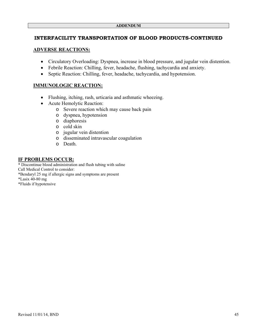# **INTERFACILITY TRANSPORTATION OF BLOOD PRODUCTS-CONTINUED**

# **ADVERSE REACTIONS:**

- Circulatory Overloading: Dyspnea, increase in blood pressure, and jugular vein distention.
- Febrile Reaction: Chilling, fever, headache, flushing, tachycardia and anxiety.
- Septic Reaction: Chilling, fever, headache, tachycardia, and hypotension.

# **IMMUNOLOGIC REACTION:**

- Flushing, itching, rash, urticaria and asthmatic wheezing.
- Acute Hemolytic Reaction:
	- o Severe reaction which may cause back pain
	- o dyspnea, hypotension
	- o diaphoresis
	- o cold skin
	- o jugular vein distention
	- o disseminated intravascular coagulation
	- o Death.

# **IF PROBLEMS OCCUR:**

\* Discontinue blood administration and flush tubing with saline Call Medical Control to consider:

\*Bendaryl 25 mg if allergic signs and symptoms are present

\*Lasix 40-80 mg

\*Fluids if hypotensive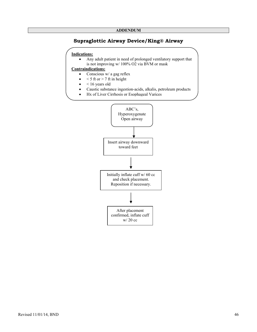# **Supraglottic Airway Device/King® Airway**

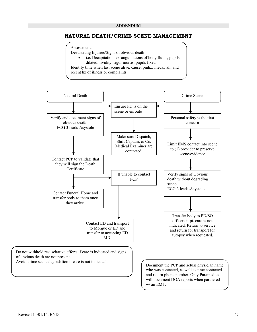# **NATURAL DEATH/CRIME SCENE MANAGEMENT**

#### Assessment:

Devastating Injuries/Signs of obvious death

• i.e. Decapitation, exsanguinations of body fluids, pupils dilated. lividity, rigor mortis, pupils fixed Identify time when last scene alive, cause, pmhx, meds., all, and recent hx of illness or complaints

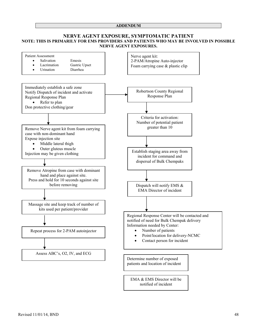#### **ADDENDUM**

#### **NERVE AGENT EXPOSURE, SYMPTOMATIC PATIENT NOTE: THIS IS PRIMARILY FOR EMS PROVIDERS AND PATIENTS WHO MAY BE INVOLVED IN POSSIBLE NERVE AGENT EXPOSURES.**

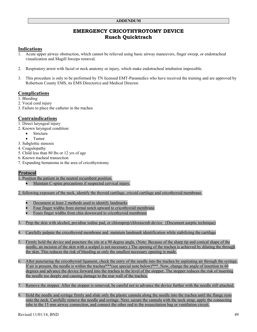# **EMERGENCY CRICOTHYROTOMY DEVICE Rusch Quicktrach**

# **Indications**

- 1. Acute upper airway obstruction, which cannot be relieved using basic airway maneuvers, finger sweep, or endotracheal visualization and Magill forceps removal.
- 2. Respiratory arrest with facial or neck anatomy or injury, which make endotracheal intubation impossible.
- 3. This procedure is only to be performed by TN licensed EMT-Paramedics who have received the training and are approved by Robertson County EMS, its EMS Director(s) and Medical Director.

# **Complications**

- 1. Bleeding
- 2. Vocal cord injury
- 3. Failure to place the catheter in the trachea

# **Contraindications**

- 1. Direct laryngeal injury
- 2. Known laryngeal condition:
	- Stricture
	- Tumor
- 3. Subglottic stenosis
- 4. Coagulopathy
- 5. Child less than 80 lbs or 12 yrs of age
- 6. Known tracheal transection
- 7. Expanding hematoma in the area of cricothyrotomy

# **Protocol**

- 1. Position the patient in the neutral recumbent position.
	- Maintain C-spine precautions if suspected cervical injury.
- 2. following exposure of the neck, identify the thyroid cartilage, cricoid cartilage and cricothyroid membrane.
	- Document at least 2 methods used to identify landmarks
	- Four finger widths from sternal notch upward to cricothyroid membrane
	- Fours finger widths from chin downward to cricothyroid membrane
- 3. Prep the skin with alcohol, povidine iodine pad, or chloraprep/chlorascrub device (Document aseptic technique)
- 4. Carefully palpate the cricothyroid membrane and maintain landmark identification while stabilizing the cartilage
- 5. Firmly hold the device and puncture the site at a 90 degree angle. (Note: Because of the sharp tip and conical shape of the needle, an incision of the skin with a scalpel is not necessary.) The opening of the trachea is achieved by dilating the through the skin. This reduces the risk of bleeding as only the smallest necessary opening is made.
- 6. After puncturing the cricothyroid ligament, check the entry of the needle into the trachea by aspirating air through the syringe. If air is present, the needle is within the trachea\*\*\*(see special note below)\*\*\*. Now, change the angle of insertion to 60 degrees and advance the device forward into the trachea to the level of the stopper. The stopper reduces the risk of inserting the needle too deeply and causing damage to the rear wall of the trachea.
- 7. Remove the stopper. After the stopper is removed, be careful not to advance the device further with the needle still attached.
- 8. Hold the needle and syringe firmly and slide only the plastic cannula along the needle into the trachea until the flange rests onto the neck. Carefully remove the needle and syringe. Next, secure the cannula with the neck strap, apply the connecting tube to the 15 mm airway connection, and connect the other end to the resuscitation bag or ventilation circuit.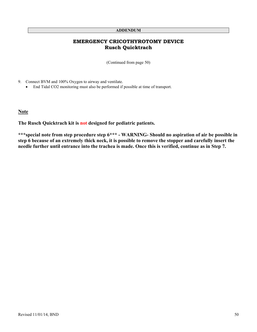#### **ADDENDUM**

# **EMERGENCY CRICOTHYROTOMY DEVICE Rusch Quicktrach**

(Continued from page 50)

9. Connect BVM and 100% Oxygen to airway and ventilate.

• End Tidal CO2 monitoring must also be performed if possible at time of transport.

# **Note**

**The Rusch Quicktrach kit is not designed for pediatric patients.** 

**\*\*\*special note from step procedure step 6\*\*\* - WARNING- Should no aspiration of air be possible in step 6 because of an extremely thick neck, it is possible to remove the stopper and carefully insert the needle further until entrance into the trachea is made. Once this is verified, continue as in Step 7.**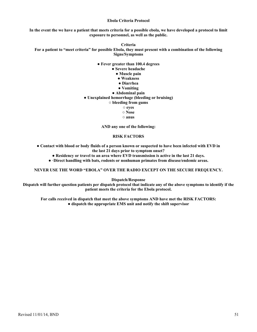#### **Ebola Criteria Protocol**

**In the event the we have a patient that meets criteria for a possible ebola, we have developed a protocol to limit exposure to personnel, as well as the public.** 

**Criteria For a patient to "meet criteria" for possible Ebola, they must present with a combination of the following Signs/Symptoms** 

#### **● Fever greater than 100.4 degrees**

- **● Severe headache** 
	- **● Muscle pain**
	- **● Weakness**
	- **● Diarrhea**
	- **● Vomiting**
- **● Abdominal pain**
- **● Unexplained hemorrhage (bleeding or bruising)** 
	- **○ bleeding from gums** 
		- **○ eyes**
		- **○ Nose**
		- **○ anus**

**AND any one of the following:** 

#### **RISK FACTORS**

**● Contact with blood or body fluids of a person known or suspected to have been infected with EVD in the last 21 days prior to symptom onset?** 

- **● Residency or travel to an area where EVD transmission is active in the last 21 days.**
- **● ·Direct handling with bats, rodents or nonhuman primates from disease/endemic areas.**

**NEVER USE THE WORD "EBOLA" OVER THE RADIO EXCEPT ON THE SECURE FREQUENCY.** 

**Dispatch/Response** 

**Dispatch will further question patients per dispatch protocol that indicate any of the above symptoms to identify if the patient meets the criteria for the Ebola protocol.** 

**For calls received in dispatch that meet the above symptoms AND have met the RISK FACTORS: ● dispatch the appropriate EMS unit and notify the shift supervisor**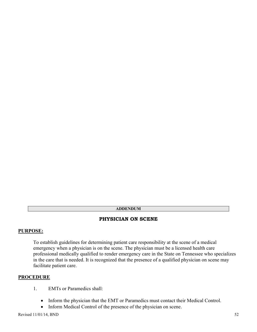# **ADDENDUM**

# **PHYSICIAN ON SCENE**

# **PURPOSE:**

To establish guidelines for determining patient care responsibility at the scene of a medical emergency when a physician is on the scene. The physician must be a licensed health care professional medically qualified to render emergency care in the State on Tennessee who specializes in the care that is needed. It is recognized that the presence of a qualified physician on scene may facilitate patient care.

# **PROCEDURE**

- 1. EMTs or Paramedics shall:
	- Inform the physician that the EMT or Paramedics must contact their Medical Control.
	- Inform Medical Control of the presence of the physician on scene.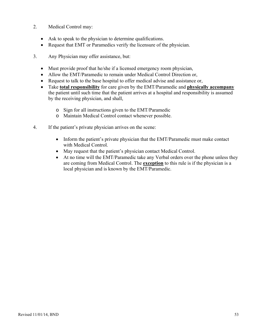- 2. Medical Control may:
	- Ask to speak to the physician to determine qualifications.
	- Request that EMT or Paramedics verify the licensure of the physician.
- 3. Any Physician may offer assistance, but:
	- Must provide proof that he/she if a licensed emergency room physician,
	- Allow the EMT/Paramedic to remain under Medical Control Direction or,
	- Request to talk to the base hospital to offer medical advise and assistance or,
	- Take **total responsibility** for care given by the EMT/Paramedic and **physically accompany** the patient until such time that the patient arrives at a hospital and responsibility is assumed by the receiving physician, and shall,
		- o Sign for all instructions given to the EMT/Paramedic
		- o Maintain Medical Control contact whenever possible.
- 4. If the patient's private physician arrives on the scene:
	- Inform the patient's private physician that the EMT/Paramedic must make contact with Medical Control.
	- May request that the patient's physician contact Medical Control.
	- At no time will the EMT/Paramedic take any Verbal orders over the phone unless they are coming from Medical Control. The **exception** to this rule is if the physician is a local physician and is known by the EMT/Paramedic.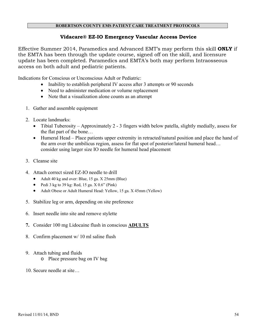# **Vidacare® EZ-IO Emergency Vascular Access Device**

Effective Summer 2014, Paramedics and Advanced EMT's may perform this skill **ONLY** if the EMTA has been through the update course, signed off on the skill, and licensure update has been completed. Paramedics and EMTA's both may perform Intraosseous access on both adult and pediatric patients.

Indications for Conscious or Unconscious Adult or Pediatric:

- Inability to establish peripheral IV access after 3 attempts or 90 seconds
- Need to administer medication or volume replacement
- Note that a visualization alone counts as an attempt
- 1. Gather and assemble equipment
- 2. Locate landmarks:
	- Tibial Tuberosity Approximately 2 3 fingers width below patella, slightly medially, assess for the flat part of the bone…
	- Humeral Head Place patients upper extremity in retracted/natural position and place the hand of the arm over the umbilicus region, assess for flat spot of posterior/lateral humeral head… consider using larger size IO needle for humeral head placement
- 3. Cleanse site
- 4. Attach correct sized EZ-IO needle to drill
	- Adult 40 kg and over: Blue, 15 ga. X 25mm (Blue)
	- Pedi 3 kg to 39 kg: Red, 15 ga.  $X$  0.6" (Pink)
	- Adult Obese or Adult Humeral Head: Yellow, 15 ga. X 45mm (Yellow)
- 5. Stabilize leg or arm, depending on site preference
- 6. Insert needle into site and remove stylette
- **7.** Consider 100 mg Lidocaine flush in conscious **ADULTS**
- 8. Confirm placement w/ 10 ml saline flush
- 9. Attach tubing and fluids
	- o Place pressure bag on IV bag
- 10. Secure needle at site…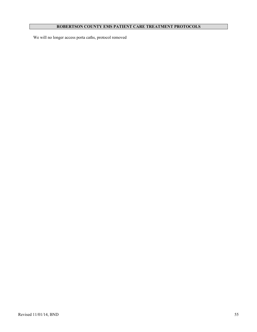We will no longer access porta caths, protocol removed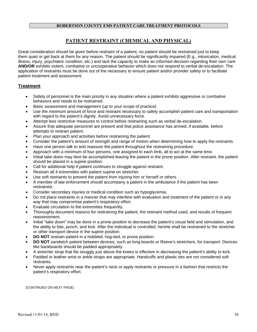# **PATIENT RESTRAINT (CHEMICAL AND PHYSICAL)**

Great consideration should be given before restraint of a patient, no patient should be restrained just to keep them quiet or get back at them for any reason. The patient should be significantly impaired (E.g., intoxication, medical illness, injury, psychiatric condition, etc.) and lack the capacity to make an informed decision regarding their own care **AND/OR** exhibits violent, combative or uncooperative behavior which does not respond to verbal de-escalation. The application of restraints must be done out of the necessary to ensure patient and/or provider safety or to facilitate patient treatment and assessment.

# **Treatment**

- Safety of personnel is the main priority in any situation where a patient exhibits aggressive or combative behaviors and needs to be restrained.
- Basic assessment and management (up to your scope of practice)
- Use the minimum amount of force and restraint necessary to safely accomplish patient care and transportation with regard to the patient's dignity. Avoid unnecessary force.
- Attempt less restrictive measures to control before restraining such as verbal de-escalation.
- Assure that adequate personnel are present and that police assistance has arrived, if available, before attempts to restrain patient.
- Plan your approach and activities before restraining the patient.
- Consider the patient's amount of strength and range of motion when determining how to apply the restraints.
- Have one person talk to and reassure the patient throughout the restraining procedure.
- Approach with a minimum of four persons, one assigned to each limb, all to act at the same time.
- Initial take down may best be accomplished leaving the patient in the prone position. After restraint, the patient should be placed in a supine position.
- Call for additional help if patient continues to struggle against restraint.
- Restrain all 4 extremities with patient supine on stretcher.
- Use soft restraints to prevent the patient from injuring him or herself or others.
- A member of law enforcement should accompany a patient in the ambulance if the patient has been restrained.
- Consider secondary injuries or medical condition such as hypoglycemia.
- Do not place restraints in a manner that may interfere with evaluation and treatment of the patient or in any way that may compromise patient's respiratory effort.
- Evaluate circulation to the extremities frequently.
- Thoroughly document reasons for restraining the patient, the restraint method used, and results of frequent reassessment.
- Initial "take down" may be done in a prone position to decrease the patient's visual field and stimulation, and the ability to bite, punch, and kick. After the individual is controlled, he/she shall be restrained to the stretcher or other transport device in the supine position.
- **DO NOT** restrain patient in a hobbled, hog-tied, or prone position.
- **DO NOT** sandwich patient between devices, such as long boards or Reeve's stretchers, for transport. Devices like backboards should be padded appropriately.
- A stretcher strap that fits snuggly just above the knees is effective in decreasing the patient's ability to kick.
- Padded or leather wrist or ankle straps are appropriate. Handcuffs and plastic ties are not considered soft restraints.
- Never apply restraints near the patient's neck or apply restraints or pressure in a fashion that restricts the patient's respiratory effort.

(CONTINUED ON NEXT PAGE)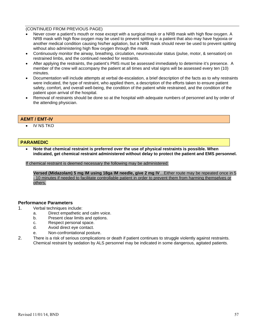#### (CONTINUED FROM PREVIOUS PAGE)

- Never cover a patient's mouth or nose except with a surgical mask or a NRB mask with high flow oxygen. A NRB mask with high flow oxygen may be used to prevent spitting in a patient that also may have hypoxia or another medical condition causing his/her agitation, but a NRB mask should never be used to prevent spitting without also administering high flow oxygen through the mask.
- Continuously monitor the airway, breathing, circulation, neurovascular status (pulse, motor, & sensation) on restrained limbs, and the continued needed for restraints.
- After applying the restraints, the patient's PMS must be assessed immediately to determine it's presence. A member of the crew will accompany the patient at all times and vital signs will be assessed every ten (10) minutes.
- Documentation will include attempts at verbal de-escalation, a brief description of the facts as to why restraints were indicated, the type of restraint, who applied them, a description of the efforts taken to ensure patient safety, comfort, and overall well-being, the condition of the patient while restrained, and the condition of the patient upon arrival of the hospital.
- Removal of restraints should be done so at the hospital with adequate numbers of personnel and by order of the attending physician.

# **AEMT / EMT-IV**

• IV NS TKO

#### **PARAMEDIC**

• **Note that chemical restraint is preferred over the use of physical restraints is possible. When indicated, get chemical restraint administered without delay to protect the patient and EMS personnel.** 

If chemical restraint is deemed necessary the following may be administered:

**Versed (Midazolam) 5 mg IM using 18ga IM needle, give 2 mg IV**…Either route may be repeated once in 5 - 10 minutes if needed to facilitate controllable patient in order to prevent them from harming themselves or others.

#### **Performance Parameters**

- 1. Verbal techniques include:
	- a. Direct empathetic and calm voice.
	- b. Present clear limits and options.
	- c. Respect personal space.
	- d. Avoid direct eye contact.
	- e. Non-confrontational posture.
- 2. There is a risk of serious complications or death if patient continues to struggle violently against restraints. Chemical restraint by sedation by ALS personnel may be indicated in some dangerous, agitated patients.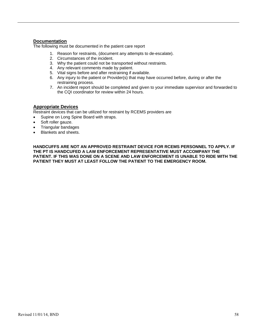# **Documentation**

The following must be documented in the patient care report

- 1. Reason for restraints, (document any attempts to de-escalate).
- 2. Circumstances of the incident.
- 3. Why the patient could not be transported without restraints.
- 4. Any relevant comments made by patient.
- 5. Vital signs before and after restraining if available.
- 6. Any injury to the patient or Provider(s) that may have occurred before, during or after the restraining process.
- 7. An incident report should be completed and given to your immediate supervisor and forwarded to the CQI coordinator for review within 24 hours.

#### **Appropriate Devices**

Restraint devices that can be utilized for restraint by RCEMS providers are

- Supine on Long Spine Board with straps.
- Soft roller gauze.
- Triangular bandages
- Blankets and sheets.

 **HANDCUFFS ARE NOT AN APPROVED RESTRAINT DEVICE FOR RCEMS PERSONNEL TO APPLY. IF THE PT IS HANDCUFED A LAW ENFORCEMENT REPRESENTATIVE MUST ACCOMPANY THE PATIENT. IF THIS WAS DONE ON A SCENE AND LAW ENFORCEMENT IS UNABLE TO RIDE WITH THE PATIENT THEY MUST AT LEAST FOLLOW THE PATIENT TO THE EMERGENCY ROOM.**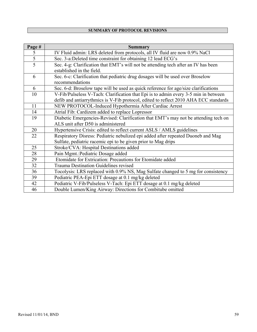| Page #         | <b>Summary</b>                                                                                                                                    |
|----------------|---------------------------------------------------------------------------------------------------------------------------------------------------|
| 5              | IV Fluid admin: LRS deleted from protocols, all IV fluid are now 0.9% NaCl                                                                        |
| $\overline{5}$ | Sec. 3-a:Deleted time constraint for obtaining 12 lead ECG's                                                                                      |
| 5              | Sec. 4-g: Clarification that EMT's will not be attending tech after an IV has been<br>established in the field.                                   |
| 6              | Sec. 6-c: Clarification that pediatric drug dosages will be used over Broselow<br>recommendations                                                 |
| 6              | Sec. 6-d: Broselow tape will be used as quick reference for age/size clarifications                                                               |
| 10             | V-Fib/Pulseless V-Tach: Clarification that Epi is to admin every 3-5 min in between                                                               |
|                | defib and antiarrythmics is V-Fib protocol, edited to reflect 2010 AHA ECC standards                                                              |
| 11             | NEW PROTOCOL-Induced Hypothermia After Cardiac Arrest                                                                                             |
| 14             | Atrial Fib: Cardizem added to replace Lopressor                                                                                                   |
| 19             | Diabetic Emergencies-Revised: Clarification that EMT's may not be attending tech on<br>ALS unit after D50 is administered                         |
| 20             | Hypertensive Crisis: edited to reflect current ASLS / AMLS guidelines                                                                             |
| 22             | Respiratory Disress: Pediatric nebulized epi added after repeated Duoneb and Mag<br>Sulfate, pediatric racemic epi to be given prior to Mag drips |
| 25             | Stroke/CVA: Hospital Destinations added                                                                                                           |
| 28             | Pain Mgmt.: Pediatric Dosage added                                                                                                                |
| 29             | Etomidate for Extrication: Precautions for Etomidate added                                                                                        |
| 32             | <b>Trauma Destination Guidelines revised</b>                                                                                                      |
| 36             | Tocolysis: LRS replaced with 0.9% NS, Mag Sulfate changed to 5 mg for consistency                                                                 |
| 39             | Pediatric PEA-Epi ETT dosage at 0.1 mg/kg deleted                                                                                                 |
| 42             | Pediatric V-Fib/Pulseless V-Tach: Epi ETT dosage at 0.1 mg/kg deleted                                                                             |
| 46             | Double Lumen/King Airway: Directions for Combitube omitted                                                                                        |

# **SUMMARY OF PROTOCOL REVISIONS**